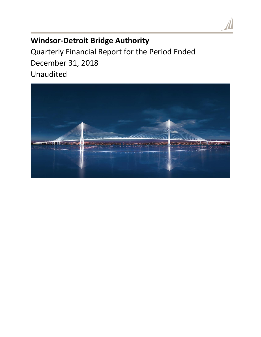# **Windsor-Detroit Bridge Authority**

Quarterly Financial Report for the Period Ended December 31, 2018 Unaudited

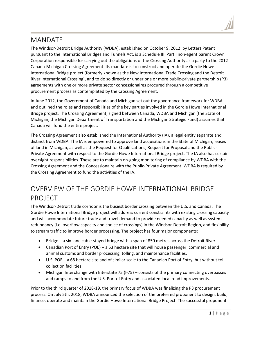## MANDATE

The Windsor-Detroit Bridge Authority (WDBA), established on October 9, 2012, by Letters Patent pursuant to the International Bridges and Tunnels Act, is a Schedule III, Part I non-agent parent Crown Corporation responsible for carrying out the obligations of the Crossing Authority as a party to the 2012 Canada-Michigan Crossing Agreement. Its mandate is to construct and operate the Gordie Howe International Bridge project (formerly known as the New International Trade Crossing and the Detroit River International Crossing), and to do so directly or under one or more public-private partnership (P3) agreements with one or more private sector concessionaires procured through a competitive procurement process as contemplated by the Crossing Agreement.

In June 2012, the Government of Canada and Michigan set out the governance framework for WDBA and outlined the roles and responsibilities of the key parties involved in the Gordie Howe International Bridge project. The Crossing Agreement, signed between Canada, WDBA and Michigan (the State of Michigan, the Michigan Department of Transportation and the Michigan Strategic Fund) assumes that Canada will fund the entire project.

The Crossing Agreement also established the International Authority (IA), a legal entity separate and distinct from WDBA. The IA is empowered to approve land acquisitions in the State of Michigan, leases of land in Michigan, as well as the Request for Qualifications, Request for Proposal and the Public-Private Agreement with respect to the Gordie Howe International Bridge project. The IA also has certain oversight responsibilities. These are to maintain on-going monitoring of compliance by WDBA with the Crossing Agreement and the Concessionaire with the Public-Private Agreement. WDBA is required by the Crossing Agreement to fund the activities of the IA.

# OVERVIEW OF THE GORDIE HOWE INTERNATIONAL BRIDGE PROJECT

The Windsor-Detroit trade corridor is the busiest border crossing between the U.S. and Canada. The Gordie Howe International Bridge project will address current constraints with existing crossing capacity and will accommodate future trade and travel demand to provide needed capacity as well as system redundancy (i.e. overflow capacity and choice of crossings) in the Windsor-Detroit Region, and flexibility to stream traffic to improve border processing. The project has four major components:

- Bridge a six-lane cable-stayed bridge with a span of 850 metres across the Detroit River.
- Canadian Port of Entry (POE) a 53 hectare site that will house passenger, commercial and animal customs and border processing, tolling, and maintenance facilities.
- U.S. POE a 68 hectare site and of similar scale to the Canadian Port of Entry, but without toll collection facilities.
- Michigan Interchange with Interstate 75 (I-75) consists of the primary connecting overpasses and ramps to and from the U.S. Port of Entry and associated local road improvements.

Prior to the third quarter of 2018-19, the primary focus of WDBA was finalizing the P3 procurement process. On July 5th, 2018, WDBA announced the selection of the preferred proponent to design, build, finance, operate and maintain the Gordie Howe International Bridge Project. The successful proponent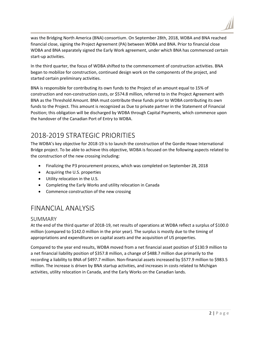was the Bridging North America (BNA) consortium. On September 28th, 2018, WDBA and BNA reached financial close, signing the Project Agreement (PA) between WDBA and BNA. Prior to financial close WDBA and BNA separately signed the Early Work agreement, under which BNA has commenced certain start-up activities.

In the third quarter, the focus of WDBA shifted to the commencement of construction activities. BNA began to mobilize for construction, continued design work on the components of the project, and started certain preliminary activities.

BNA is responsible for contributing its own funds to the Project of an amount equal to 15% of construction and non-construction costs, or \$574.8 million, referred to in the Project Agreement with BNA as the Threshold Amount. BNA must contribute these funds prior to WDBA contributing its own funds to the Project. This amount is recognized as Due to private partner in the Statement of Financial Position; this obligation will be discharged by WDBA through Capital Payments, which commence upon the handover of the Canadian Port of Entry to WDBA.

## 2018-2019 STRATEGIC PRIORITIES

The WDBA's key objective for 2018-19 is to launch the construction of the Gordie Howe International Bridge project. To be able to achieve this objective, WDBA is focused on the following aspects related to the construction of the new crossing including:

- Finalizing the P3 procurement process, which was completed on September 28, 2018
- Acquiring the U.S. properties
- Utility relocation in the U.S.
- Completing the Early Works and utility relocation in Canada
- Commence construction of the new crossing

## FINANCIAL ANALYSIS

### SUMMARY

At the end of the third quarter of 2018-19, net results of operations at WDBA reflect a surplus of \$100.0 million (compared to \$142.0 million in the prior year). The surplus is mostly due to the timing of appropriations and expenditures on capital assets and the acquisition of US properties.

Compared to the year end results, WDBA moved from a net financial asset position of \$130.9 million to a net financial liability position of \$357.8 million, a change of \$488.7 million due primarily to the recording a liability to BNA of \$497.7 million. Non-financial assets increased by \$577.9 million to \$983.5 million. The increase is driven by BNA startup activities, and increases in costs related to Michigan activities, utility relocation in Canada, and the Early Works on the Canadian lands.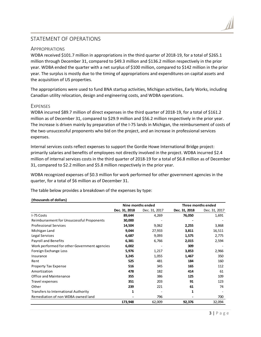## STATEMENT OF OPERATIONS

#### **APPROPRIATIONS**

WDBA received \$101.7 million in appropriations in the third quarter of 2018-19, for a total of \$265.1 million through December 31, compared to \$49.3 million and \$136.2 million respectively in the prior year. WDBA ended the quarter with a net surplus of \$100 million, compared to \$142 million in the prior year. The surplus is mostly due to the timing of appropriations and expenditures on capital assets and the acquisition of US properties.

The appropriations were used to fund BNA startup activities, Michigan activities, Early Works, including Canadian utility relocation, design and engineering costs, and WDBA operations.

#### **EXPENSES**

WDBA incurred \$89.7 million of direct expenses in the third quarter of 2018-19, for a total of \$161.2 million as of December 31, compared to \$29.9 million and \$56.2 million respectively in the prior year. The increase is driven mainly by preparation of the I-75 lands in Michigan, the reimbursement of costs of the two unsuccessful proponents who bid on the project, and an increase in professional services expenses.

Internal services costs reflect expenses to support the Gordie Howe International Bridge project: primarily salaries and benefits of employees not directly involved in the project. WDBA incurred \$2.4 million of internal services costs in the third quarter of 2018-19 for a total of \$6.8 million as of December 31, compared to \$2.2 million and \$5.8 million respectively in the prior year.

WDBA recognized expenses of \$0.3 million for work performed for other government agencies in the quarter, for a total of \$6 million as of December 31.

The table below provides a breakdown of the expenses by type:

|                                              | Nine months ended |               | Three months ended |               |
|----------------------------------------------|-------------------|---------------|--------------------|---------------|
|                                              | Dec. 31, 2018     | Dec. 31, 2017 | Dec. 31, 2018      | Dec. 31, 2017 |
| I-75 Costs                                   | 89,644            | 4,269         | 76,050             | 1,691         |
| Reimbursement for Unsuccessful Proponents    | 30,000            |               |                    |               |
| <b>Professional Services</b>                 | 14,504            | 9,062         | 2,255              | 3,868         |
| Michigan Land                                | 9,044             | 27,933        | 3,811              | 16,511        |
| Legal Services                               | 6,687             | 9,093         | 1,575              | 2,775         |
| Payroll and Benefits                         | 6,381             | 6,766         | 2,015              | 2,594         |
| Work performed for other Government agencies | 6,002             |               | 309                |               |
| Foreign Exchange Loss                        | 5,976             | 1,217         | 3,853              | 2,966         |
| Insurance                                    | 3,245             | 1,055         | 1,467              | 350           |
| Rent                                         | 525               | 481           | 184                | 160           |
| <b>Property Tax Expense</b>                  | 516               | 345           | 165                | 112           |
| Amortization                                 | 478               | 182           | 414                | 61            |
| Office and Maintenance                       | 355               | 386           | 125                | 109           |
| Travel expenses                              | 351               | 203           | 91                 | 123           |
| Other                                        | 239               | 221           | 61                 | 74            |
| <b>Transfers to International Authority</b>  | 1                 |               | 1                  |               |
| Remediation of non WDBA owned land           |                   | 796           |                    | 700           |
|                                              | 173,948           | 62,009        | 92,376             | 32,094        |

#### **(thousands of dollars)**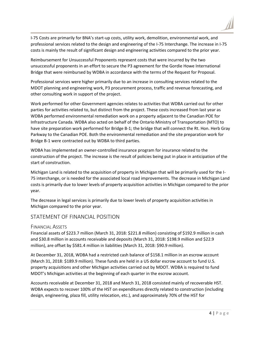I-75 Costs are primarily for BNA's start-up costs, utility work, demolition, environmental work, and professional services related to the design and engineering of the I-75 Interchange. The increase in I-75 costs is mainly the result of significant design and engineering activities compared to the prior year.

Reimbursement for Unsuccessful Proponents represent costs that were incurred by the two unsuccessful proponents in an effort to secure the P3 agreement for the Gordie Howe International Bridge that were reimbursed by WDBA in accordance with the terms of the Request for Proposal.

Professional services were higher primarily due to an increase in consulting services related to the MDOT planning and engineering work, P3 procurement process, traffic and revenue forecasting, and other consulting work in support of the project.

Work performed for other Government agencies relates to activities that WDBA carried out for other parties for activities related to, but distinct from the project. These costs increased from last year as WDBA performed environmental remediation work on a property adjacent to the Canadian POE for Infrastructure Canada. WDBA also acted on behalf of the Ontario Ministry of Transportation (MTO) to have site preparation work performed for Bridge B-1; the bridge that will connect the Rt. Hon. Herb Gray Parkway to the Canadian POE. Both the environmental remediation and the site preparation work for Bridge B-1 were contracted out by WDBA to third parties.

WDBA has implemented an owner-controlled insurance program for insurance related to the construction of the project. The increase is the result of policies being put in place in anticipation of the start of construction.

Michigan Land is related to the acquisition of property in Michigan that will be primarily used for the I-75 interchange, or is needed for the associated local road improvements. The decrease in Michigan Land costs is primarily due to lower levels of property acquisition activities in Michigan compared to the prior year.

The decrease in legal services is primarily due to lower levels of property acquisition activities in Michigan compared to the prior year.

## STATEMENT OF FINANCIAL POSITION

### FINANCIAL ASSETS

Financial assets of \$223.7 million (March 31, 2018: \$221.8 million) consisting of \$192.9 million in cash and \$30.8 million in accounts receivable and deposits (March 31, 2018: \$198.9 million and \$22.9 million), are offset by \$581.4 million in liabilities (March 31, 2018: \$90.9 million).

At December 31, 2018, WDBA had a restricted cash balance of \$158.1 million in an escrow account (March 31, 2018: \$189.9 million). These funds are held in a US dollar escrow account to fund U.S. property acquisitions and other Michigan activities carried out by MDOT. WDBA is required to fund MDOT's Michigan activities at the beginning of each quarter in the escrow account.

Accounts receivable at December 31, 2018 and March 31, 2018 consisted mainly of recoverable HST. WDBA expects to recover 100% of the HST on expenditures directly related to construction (including design, engineering, plaza fill, utility relocation, etc.), and approximately 70% of the HST for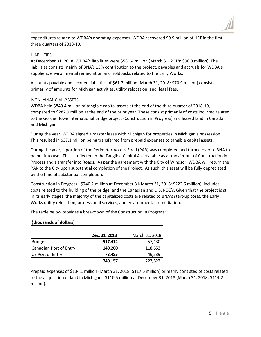

expenditures related to WDBA's operating expenses. WDBA recovered \$9.9 million of HST in the first three quarters of 2018-19.

#### LIABILITIES

At December 31, 2018, WDBA's liabilities were \$581.4 million (March 31, 2018: \$90.9 million). The liabilities consists mainly of BNA's 15% contribution to the project, payables and accruals for WDBA's suppliers, environmental remediation and holdbacks related to the Early Works.

Accounts payable and accrued liabilities of \$61.7 million (March 31, 2018: \$70.9 million) consists primarily of amounts for Michigan activities, utility relocation, and, legal fees.

#### NON-FINANCIAL ASSETS

WDBA held \$849.4 million of tangible capital assets at the end of the third quarter of 2018-19, compared to \$287.9 million at the end of the prior year. These consist primarily of costs incurred related to the Gordie Howe International Bridge project (Construction in Progress) and leased land in Canada and Michigan.

During the year, WDBA signed a master lease with Michigan for properties in Michigan's possession. This resulted in \$37.1 million being transferred from prepaid expenses to tangible capital assets.

During the year, a portion of the Perimeter Access Road (PAR) was completed and turned over to BNA to be put into use. This is reflected in the Tangible Capital Assets table as a transfer out of Construction in Process and a transfer into Roads. As per the agreement with the City of Windsor, WDBA will return the PAR to the City upon substantial completion of the Project. As such, this asset will be fully depreciated by the time of substantial completion.

Construction in Progress - \$740.2 million at December 31(March 31, 2018: \$222.6 million), includes costs related to the building of the bridge, and the Canadian and U.S. POE's. Given that the project is still in its early stages, the majority of the capitalized costs are related to BNA's start-up costs, the Early Works utility relocation, professional services, and environmental remediation.

The table below provides a breakdown of the Construction in Progress:

#### **(thousands of dollars)**

|                        | Dec. 31, 2018 | March 31, 2018 |
|------------------------|---------------|----------------|
| <b>Bridge</b>          | 517,412       | 57,430         |
| Canadian Port of Entry | 149,260       | 118,653        |
| US Port of Entry       | 73,485        | 46,539         |
|                        | 740,157       | 222,622        |

Prepaid expenses of \$134.1 million (March 31, 2018: \$117.6 million) primarily consisted of costs related to the acquisition of land in Michigan - \$110.5 million at December 31, 2018 (March 31, 2018: \$114.2 million).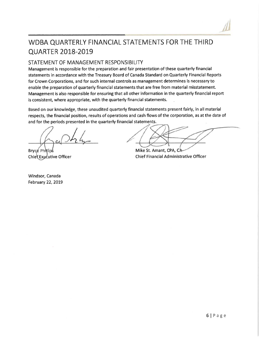# WDBA QUARTERLY FINANCIAL STATEMENTS FOR THE THIRD **QUARTER 2018-2019**

## STATEMENT OF MANAGEMENT RESPONSIBILITY

Management is responsible for the preparation and fair presentation of these quarterly financial statements in accordance with the Treasury Board of Canada Standard on Quarterly Financial Reports for Crown Corporations, and for such internal controls as management determines is necessary to enable the preparation of quarterly financial statements that are free from material misstatement. Management is also responsible for ensuring that all other information in the quarterly financial report is consistent, where appropriate, with the quarterly financial statements.

Based on our knowledge, these unaudited quarterly financial statements present fairly, in all material respects, the financial position, results of operations and cash flows of the corporation, as at the date of and for the periods presented in the quarterly financial statements.

Bryce Phillips Chief Executive Officer

Windsor, Canada February 22, 2019

Mike St. Amant, CPA, CA **Chief Financial Administrative Officer**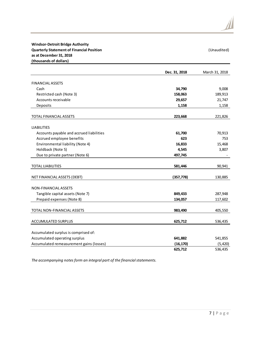|                                          | Dec. 31, 2018 | March 31, 2018 |
|------------------------------------------|---------------|----------------|
| <b>FINANCIAL ASSETS</b>                  |               |                |
| Cash                                     | 34,790        | 9,008          |
| Restricted cash (Note 3)                 | 158,063       | 189,913        |
| Accounts receivable                      | 29,657        | 21,747         |
| Deposits                                 | 1,158         | 1,158          |
| TOTAL FINANCIAL ASSETS                   | 223,668       | 221,826        |
| <b>LIABILITIES</b>                       |               |                |
| Accounts payable and accrued liabilities | 61,700        | 70,913         |
| Accrued employee benefits                | 623           | 753            |
| Environmental liability (Note 4)         | 16,833        | 15,468         |
| Holdback (Note 5)                        | 4,545         | 3,807          |
| Due to private partner (Note 6)          | 497,745       |                |
| <b>TOTAL LIABILITIES</b>                 | 581,446       | 90,941         |
| NET FINANCIAL ASSETS (DEBT)              | (357, 778)    | 130,885        |
| NON-FINANCIAL ASSETS                     |               |                |
| Tangible capital assets (Note 7)         | 849,433       | 287,948        |
| Prepaid expenses (Note 8)                | 134,057       | 117,602        |
| TOTAL NON-FINANCIAL ASSETS               | 983,490       | 405,550        |
| ACCUMULATED SURPLUS                      | 625,712       | 536,435        |
| Accumulated surplus is comprised of:     |               |                |
| Accumulated operating surplus            | 641,882       | 541,855        |
| Accumulated remeasurement gains (losses) | (16, 170)     | (5, 420)       |
|                                          | 625,712       | 536,435        |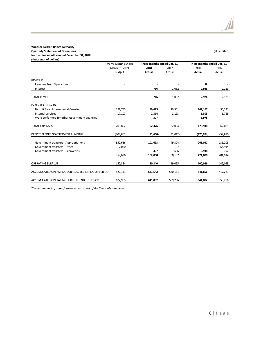#### **Windsor-Detroit Bridge Authority Quarterly Statement of Operations** (Unaudited) **for the nine months ended December 31, 2018 (thousands of dollars)**

|                                                    | <b>Twelve Months Ended</b> | Three months ended Dec. 31 |           | Nine months ended Dec. 31 |           |
|----------------------------------------------------|----------------------------|----------------------------|-----------|---------------------------|-----------|
|                                                    | March 31, 2019             | 2018                       | 2017      | 2018                      | 2017      |
|                                                    | Budget                     | Actual                     | Actual    | Actual                    | Actual    |
| <b>REVENUE</b>                                     |                            |                            |           |                           |           |
| <b>Revenue from Operations</b>                     |                            |                            |           | 38                        |           |
| Interest                                           |                            | 716                        | 1,082     | 2,936                     | 2,129     |
| <b>TOTAL REVENUE</b>                               |                            | 716                        | 1,082     | 2,974                     | 2,129     |
| <b>EXPENSES (Note 10)</b>                          |                            |                            |           |                           |           |
| <b>Detroit River International Crossing</b>        | 191,755                    | 89,675                     | 29,901    | 161,167                   | 56,241    |
| Internal services                                  | 17,107                     | 2,394                      | 2,193     | 6,803                     | 5,768     |
| Work performed for other Government agencies       |                            | 307                        |           | 5,978                     |           |
| <b>TOTAL EXPENSES</b>                              | 208,862                    | 92,376                     | 32,094    | 173,948                   | 62,009    |
| DEFICIT BEFORE GOVERNMENT FUNDING                  | (208, 862)                 | (91,660)                   | (31, 012) | (170, 974)                | (59, 880) |
| Government transfers - Appropriations              | 352,636                    | 101,693                    | 49,304    | 265,052                   | 136,208   |
| Government transfers - Other                       | 7,060                      |                            | 107       |                           | 64,914    |
| Government transfers - Recoveries                  |                            | 307                        | 696       | 5,948                     | 792       |
|                                                    | 359,696                    | 102,000                    | 50,107    | 271,000                   | 201,914   |
| <b>OPERATING SURPLUS</b>                           | 150.834                    | 10.340                     | 19.095    | 100,026                   | 142,033   |
| ACCUMULATED OPERATING SURPLUS, BEGINNING OF PERIOD | 522,131                    | 631,542                    | 540,161   | 541,856                   | 417,223   |
| ACCUMULATED OPERATING SURPLUS, END OF PERIOD       | 672,965                    | 641,882                    | 559,256   | 641,882                   | 559,256   |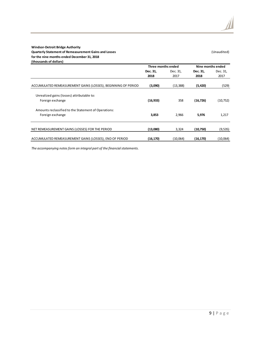#### **Windsor-Detroit Bridge Authority Quarterly Statement of Remeasurement Gains and Losses Example 20 and Statement Canadities** (Unaudited) **for the nine months ended December 31, 2018 (thousands of dollars)**

|                                                               | Three months ended |           | Nine months ended |           |
|---------------------------------------------------------------|--------------------|-----------|-------------------|-----------|
|                                                               | Dec. 31,           | Dec. 31,  | Dec. 31,          | Dec. 31,  |
|                                                               | 2018               | 2017      | 2018              | 2017      |
|                                                               |                    |           |                   |           |
| ACCUMULATED REMEASUREMENT GAINS (LOSSES), BEGINNING OF PERIOD | (3,090)            | (13, 388) | (5, 420)          | (529)     |
| Unrealized gains (losses) attributable to:                    |                    |           |                   |           |
| Foreign exchange                                              | (16, 933)          | 358       | (16, 726)         | (10, 752) |
| Amounts reclassified to the Statement of Operations:          |                    |           |                   |           |
| Foreign exchange                                              | 3,853              | 2,966     | 5,976             | 1,217     |
|                                                               |                    |           |                   |           |
| NET REMEASUREMENT GAINS (LOSSES) FOR THE PERIOD               | (13,080)           | 3,324     | (10,750)          | (9, 535)  |
| ACCUMULATED REMEASUREMENT GAINS (LOSSES), END OF PERIOD       | (16, 170)          | (10,064)  | (16, 170)         | (10,064)  |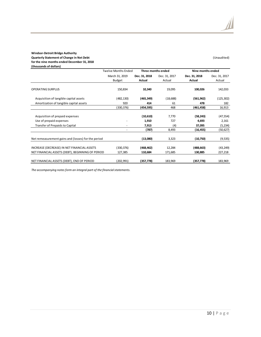#### **Windsor-Detroit Bridge Authority Quarterly Statement of Change in Net Debt** (Unaudited) **for the nine months ended December 31, 2018 (thousands of dollars)**

|                                                                                                 | <b>Twelve Months Ended</b><br>Three months ended |                       |                   | Nine months ended     |                       |
|-------------------------------------------------------------------------------------------------|--------------------------------------------------|-----------------------|-------------------|-----------------------|-----------------------|
|                                                                                                 | March 31, 2019                                   | Dec. 31, 2018         | Dec. 31, 2017     | Dec. 31, 2018         | Dec. 31, 2017         |
|                                                                                                 | Budget                                           | Actual                | Actual            | Actual                | Actual                |
| <b>OPERATING SURPLUS</b>                                                                        | 150,834                                          | 10,340                | 19,095            | 100,026               | 142,033               |
| Acquisition of tangible capital assets                                                          | (482,130)                                        | (465,349)             | (18, 688)         | (561, 962)            | (125, 302)            |
| Amortization of tangible capital assets                                                         | 920                                              | 414                   | 61                | 478                   | 182                   |
|                                                                                                 | (330,376)                                        | (454,595)             | 468               | (461, 458)            | 16,913                |
| Acquisition of prepaid expenses<br>Use of prepaid expenses                                      |                                                  | (10, 610)<br>1,910    | 7,770<br>727      | (58, 243)<br>4,693    | (47, 554)<br>2,161    |
| Transfer of Prepaids to Capital                                                                 |                                                  | 7,913<br>(787)        | (4)<br>8,493      | 37,095<br>(16, 455)   | (5, 234)<br>(50, 627) |
| Net remeasurement gains and (losses) for the period                                             |                                                  | (13,080)              | 3,323             | (10,750)              | (9, 535)              |
| INCREASE (DECREASE) IN NET FINANCIAL ASSETS<br>NET FINANCIAL ASSETS (DEBT), BEGINNING OF PERIOD | (330, 376)<br>127,385                            | (468, 462)<br>110,684 | 12,284<br>171,685 | (488, 663)<br>130,885 | (43, 249)<br>227,218  |
| NET FINANCIAL ASSETS (DEBT), END OF PERIOD                                                      | (202,991)                                        | (357,778)             | 183,969           | (357, 778)            | 183,969               |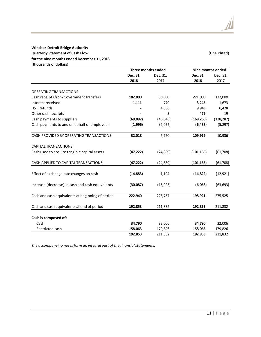#### **Windsor-Detroit Bridge Authority Quarterly Statement of Cash Flow** (Unaudited) **for the nine months ended December 31, 2018 (thousands of dollars)**

|                                                  | Three months ended |           | Nine months ended |            |
|--------------------------------------------------|--------------------|-----------|-------------------|------------|
|                                                  | Dec. 31,           | Dec. 31,  | Dec. 31,          | Dec. 31,   |
|                                                  | 2018               | 2017      | 2018              | 2017       |
| OPERATING TRANSACTIONS                           |                    |           |                   |            |
| Cash receipts from Government transfers          | 102,000            | 50,000    | 271,000           | 137,000    |
| Interest received                                | 1,111              | 779       | 3,245             | 1,673      |
| <b>HST Refunds</b>                               |                    | 4,686     | 9,943             | 6,428      |
| Other cash receipts                              |                    | 3         | 479               | 19         |
| Cash payments to suppliers                       | (69,097)           | (46, 646) | (168, 260)        | (128, 287) |
| Cash payments to and on behalf of employees      | (1,996)            | (2,052)   | (6, 488)          | (5, 897)   |
|                                                  |                    |           |                   |            |
| CASH PROVIDED BY OPERATING TRANSACTIONS          | 32,018             | 6,770     | 109,919           | 10,936     |
| <b>CAPITAL TRANSACTIONS</b>                      |                    |           |                   |            |
| Cash used to acquire tangible capital assets     | (47, 222)          | (24, 889) | (101, 165)        | (61,708)   |
| CASH APPLIED TO CAPITAL TRANSACTIONS             | (47, 222)          | (24, 889) | (101, 165)        | (61, 708)  |
|                                                  |                    |           |                   |            |
| Effect of exchange rate changes on cash          | (14, 883)          | 1,194     | (14, 822)         | (12, 921)  |
| Increase (decrease) in cash and cash equivalents | (30,087)           | (16, 925) | (6,068)           | (63, 693)  |
| Cash and cash equivalents at beginning of period | 222,940            | 228,757   | 198,921           | 275,525    |
| Cash and cash equivalents at end of period       | 192,853            | 211,832   | 192,853           | 211,832    |
|                                                  |                    |           |                   |            |
| Cash is composed of:                             |                    |           |                   |            |
| Cash                                             | 34,790             | 32,006    | 34,790            | 32,006     |
| Restricted cash                                  | 158,063            | 179,826   | 158,063           | 179,826    |
|                                                  | 192,853            | 211,832   | 192,853           | 211,832    |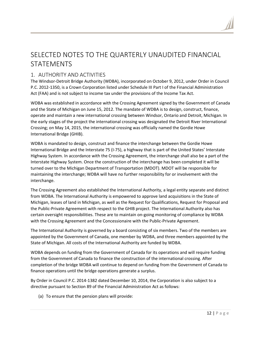# SELECTED NOTES TO THE QUARTERLY UNAUDITED FINANCIAL STATEMENTS

## 1. AUTHORITY AND ACTIVITIES

The Windsor-Detroit Bridge Authority (WDBA), incorporated on October 9, 2012, under Order in Council P.C. 2012-1350, is a Crown Corporation listed under Schedule III Part I of the Financial Administration Act (FAA) and is not subject to income tax under the provisions of the Income Tax Act.

WDBA was established in accordance with the Crossing Agreement signed by the Government of Canada and the State of Michigan on June 15, 2012. The mandate of WDBA is to design, construct, finance, operate and maintain a new international crossing between Windsor, Ontario and Detroit, Michigan. In the early stages of the project the international crossing was designated the Detroit River International Crossing; on May 14, 2015, the international crossing was officially named the Gordie Howe International Bridge (GHIB).

WDBA is mandated to design, construct and finance the interchange between the Gordie Howe International Bridge and the Interstate 75 (I-75), a highway that is part of the United States' Interstate Highway System. In accordance with the Crossing Agreement, the interchange shall also be a part of the Interstate Highway System. Once the construction of the interchange has been completed it will be turned over to the Michigan Department of Transportation (MDOT). MDOT will be responsible for maintaining the interchange; WDBA will have no further responsibility for or involvement with the interchange.

The Crossing Agreement also established the International Authority, a legal entity separate and distinct from WDBA. The International Authority is empowered to approve land acquisitions in the State of Michigan, leases of land in Michigan, as well as the Request for Qualifications, Request for Proposal and the Public-Private Agreement with respect to the GHIB project. The International Authority also has certain oversight responsibilities. These are to maintain on-going monitoring of compliance by WDBA with the Crossing Agreement and the Concessionaire with the Public-Private Agreement.

The International Authority is governed by a board consisting of six members. Two of the members are appointed by the Government of Canada, one member by WDBA, and three members appointed by the State of Michigan. All costs of the International Authority are funded by WDBA.

WDBA depends on funding from the Government of Canada for its operations and will require funding from the Government of Canada to finance the construction of the international crossing. After completion of the bridge WDBA will continue to depend on funding from the Government of Canada to finance operations until the bridge operations generate a surplus.

By Order in Council P.C. 2014-1382 dated December 10, 2014, the Corporation is also subject to a directive pursuant to Section 89 of the Financial Administration Act as follows:

(a) To ensure that the pension plans will provide: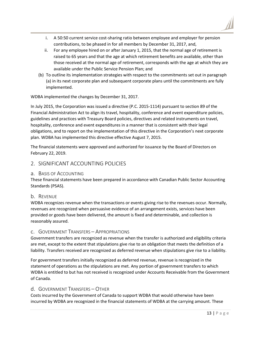- i. A 50:50 current service cost-sharing ratio between employee and employer for pension contributions, to be phased in for all members by December 31, 2017, and,
- ii. For any employee hired on or after January 1, 2015, that the normal age of retirement is raised to 65 years and that the age at which retirement benefits are available, other than those received at the normal age of retirement, corresponds with the age at which they are available under the Public Service Pension Plan; and
- (b) To outline its implementation strategies with respect to the commitments set out in paragraph (a) in its next corporate plan and subsequent corporate plans until the commitments are fully implemented.

#### WDBA implemented the changes by December 31, 2017.

In July 2015, the Corporation was issued a directive (P.C. 2015-1114) pursuant to section 89 of the Financial Administration Act to align its travel, hospitality, conference and event expenditure policies, guidelines and practices with Treasury Board policies, directives and related instruments on travel, hospitality, conference and event expenditures in a manner that is consistent with their legal obligations, and to report on the implementation of this directive in the Corporation's next corporate plan. WDBA has implemented this directive effective August 7, 2015.

The financial statements were approved and authorized for issuance by the Board of Directors on February 22, 2019.

## 2. SIGNIFICANT ACCOUNTING POLICIES

### a. BASIS OF ACCOUNTING

These financial statements have been prepared in accordance with Canadian Public Sector Accounting Standards (PSAS).

### b. REVENUE

WDBA recognizes revenue when the transactions or events giving rise to the revenues occur. Normally, revenues are recognized when persuasive evidence of an arrangement exists, services have been provided or goods have been delivered, the amount is fixed and determinable, and collection is reasonably assured.

#### c. GOVERNMENT TRANSFERS – APPROPRIATIONS

Government transfers are recognized as revenue when the transfer is authorized and eligibility criteria are met, except to the extent that stipulations give rise to an obligation that meets the definition of a liability. Transfers received are recognized as deferred revenue when stipulations give rise to a liability.

For government transfers initially recognized as deferred revenue, revenue is recognized in the statement of operations as the stipulations are met. Any portion of government transfers to which WDBA is entitled to but has not received is recognized under Accounts Receivable from the Government of Canada.

### d. GOVERNMENT TRANSFERS – OTHER

Costs incurred by the Government of Canada to support WDBA that would otherwise have been incurred by WDBA are recognized in the financial statements of WDBA at the carrying amount. These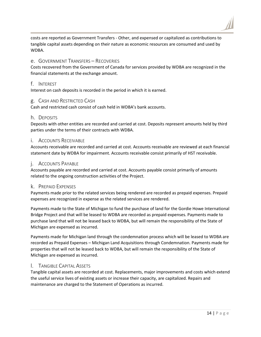costs are reported as Government Transfers - Other, and expensed or capitalized as contributions to tangible capital assets depending on their nature as economic resources are consumed and used by WDBA.

#### e. GOVERNMENT TRANSFERS – RECOVERIES

Costs recovered from the Government of Canada for services provided by WDBA are recognized in the financial statements at the exchange amount.

#### f. INTEREST

Interest on cash deposits is recorded in the period in which it is earned.

#### g. CASH AND RESTRICTED CASH

Cash and restricted cash consist of cash held in WDBA's bank accounts.

#### h. DEPOSITS

Deposits with other entities are recorded and carried at cost. Deposits represent amounts held by third parties under the terms of their contracts with WDBA.

#### i. ACCOUNTS RECEIVABLE

Accounts receivable are recorded and carried at cost. Accounts receivable are reviewed at each financial statement date by WDBA for impairment. Accounts receivable consist primarily of HST receivable.

#### j. ACCOUNTS PAYABLE

Accounts payable are recorded and carried at cost. Accounts payable consist primarily of amounts related to the ongoing construction activities of the Project.

#### k. PREPAID EXPENSES

Payments made prior to the related services being rendered are recorded as prepaid expenses. Prepaid expenses are recognized in expense as the related services are rendered.

Payments made to the State of Michigan to fund the purchase of land for the Gordie Howe International Bridge Project and that will be leased to WDBA are recorded as prepaid expenses. Payments made to purchase land that will not be leased back to WDBA, but will remain the responsibility of the State of Michigan are expensed as incurred.

Payments made for Michigan land through the condemnation process which will be leased to WDBA are recorded as Prepaid Expenses – Michigan Land Acquisitions through Condemnation. Payments made for properties that will not be leased back to WDBA, but will remain the responsibility of the State of Michigan are expensed as incurred.

#### l. TANGIBLE CAPITAL ASSETS

Tangible capital assets are recorded at cost. Replacements, major improvements and costs which extend the useful service lives of existing assets or increase their capacity, are capitalized. Repairs and maintenance are charged to the Statement of Operations as incurred.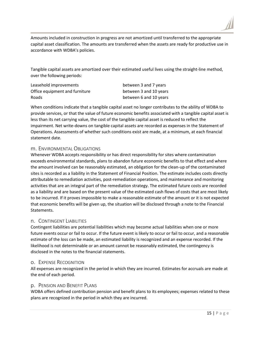

Amounts included in construction in progress are not amortized until transferred to the appropriate capital asset classification. The amounts are transferred when the assets are ready for productive use in accordance with WDBA's policies.

Tangible capital assets are amortized over their estimated useful lives using the straight-line method, over the following periods:

| Leasehold improvements         | between 3 and 7 years  |
|--------------------------------|------------------------|
| Office equipment and furniture | between 3 and 10 years |
| Roads                          | between 6 and 10 years |

When conditions indicate that a tangible capital asset no longer contributes to the ability of WDBA to provide services, or that the value of future economic benefits associated with a tangible capital asset is less than its net carrying value, the cost of the tangible capital asset is reduced to reflect the impairment. Net write-downs on tangible capital assets are recorded as expenses in the Statement of Operations. Assessments of whether such conditions exist are made, at a minimum, at each financial statement date.

#### m. ENVIRONMENTAL OBLIGATIONS

Whenever WDBA accepts responsibility or has direct responsibility for sites where contamination exceeds environmental standards, plans to abandon future economic benefits to that effect and where the amount involved can be reasonably estimated, an obligation for the clean-up of the contaminated sites is recorded as a liability in the Statement of Financial Position. The estimate includes costs directly attributable to remediation activities, post-remediation operations, and maintenance and monitoring activities that are an integral part of the remediation strategy. The estimated future costs are recorded as a liability and are based on the present value of the estimated cash flows of costs that are most likely to be incurred. If it proves impossible to make a reasonable estimate of the amount or it is not expected that economic benefits will be given up, the situation will be disclosed through a note to the Financial Statements.

### n. CONTINGENT LIABILITIES

Contingent liabilities are potential liabilities which may become actual liabilities when one or more future events occur or fail to occur. If the future event is likely to occur or fail to occur, and a reasonable estimate of the loss can be made, an estimated liability is recognized and an expense recorded. If the likelihood is not determinable or an amount cannot be reasonably estimated, the contingency is disclosed in the notes to the financial statements.

### o. EXPENSE RECOGNITION

All expenses are recognized in the period in which they are incurred. Estimates for accruals are made at the end of each period.

### p. PENSION AND BENEFIT PLANS

WDBA offers defined contribution pension and benefit plans to its employees; expenses related to these plans are recognized in the period in which they are incurred.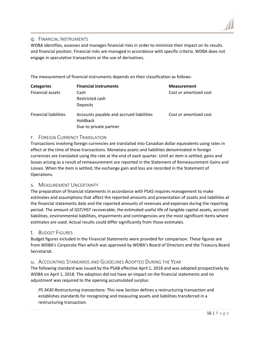#### q. FINANCIAL INSTRUMENTS

WDBA identifies, assesses and manages financial risks in order to minimize their impact on its results and financial position. Financial risks are managed in accordance with specific criteria. WDBA does not engage in speculative transactions or the use of derivatives.

The measurement of financial instruments depends on their classification as follows:

| <b>Categories</b>            | <b>Financial instruments</b>                         | <b>Measurement</b>     |
|------------------------------|------------------------------------------------------|------------------------|
| <b>Financial assets</b>      | Cash                                                 | Cost or amortized cost |
|                              | Restricted cash                                      |                        |
|                              | <b>Deposits</b>                                      |                        |
| <b>Financial liabilities</b> | Accounts payable and accrued liabilities<br>Holdback | Cost or amortized cost |
|                              | Due to private partner                               |                        |

#### r. FOREIGN CURRENCY TRANSLATION

Transactions involving foreign currencies are translated into Canadian dollar equivalents using rates in effect at the time of those transactions. Monetary assets and liabilities denominated in foreign currencies are translated using the rate at the end of each quarter. Until an item is settled, gains and losses arising as a result of remeasurement are reported in the Statement of Remeasurement Gains and Losses. When the item is settled, the exchange gain and loss are recorded in the Statement of Operations.

#### s. MEASUREMENT UNCERTAINTY

The preparation of financial statements in accordance with PSAS requires management to make estimates and assumptions that affect the reported amounts and presentation of assets and liabilities at the financial statements date and the reported amounts of revenues and expenses during the reporting period. The amount of GST/HST recoverable, the estimated useful life of tangible capital assets, accrued liabilities, environmental liabilities, impairments and contingencies are the most significant items where estimates are used. Actual results could differ significantly from those estimates.

#### t. BUDGET FIGURES

Budget figures included in the Financial Statements were provided for comparison. These figures are from WDBA's Corporate Plan which was approved by WDBA's Board of Directors and the Treasury Board Secretariat.

#### u. ACCOUNTING STANDARDS AND GUIDELINES ADOPTED DURING THE YEAR

The following standard was issued by the PSAB effective April 1, 2018 and was adopted prospectively by WDBA on April 1, 2018. The adoption did not have an impact on the financial statements and no adjustment was required to the opening accumulated surplus:

*PS 3430 Restructuring transactions:* This new Section defines a restructuring transaction and establishes standards for recognizing and measuring assets and liabilities transferred in a restructuring transaction.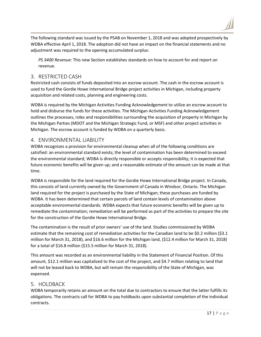The following standard was issued by the PSAB on November 1, 2018 and was adopted prospectively by WDBA effective April 1, 2018. The adoption did not have an impact on the financial statements and no adjustment was required to the opening accumulated surplus:

*PS 3400 Revenue:* This new Section establishes standards on how to account for and report on revenue.

## 3. RESTRICTED CASH

Restricted cash consists of funds deposited into an escrow account. The cash in the escrow account is used to fund the Gordie Howe International Bridge project activities in Michigan, including property acquisition and related costs, planning and engineering costs.

WDBA is required by the Michigan Activities Funding Acknowledgement to utilize an escrow account to hold and disburse the funds for these activities. The Michigan Activities Funding Acknowledgement outlines the processes, roles and responsibilities surrounding the acquisition of property in Michigan by the Michigan Parties (MDOT and the Michigan Strategic Fund, or MSF) and other project activities in Michigan. The escrow account is funded by WDBA on a quarterly basis.

## 4. ENVIRONMENTAL LIABILITY

WDBA recognizes a provision for environmental cleanup when all of the following conditions are satisfied: an environmental standard exists; the level of contamination has been determined to exceed the environmental standard; WDBA is directly responsible or accepts responsibility; it is expected that future economic benefits will be given up; and a reasonable estimate of the amount can be made at that time.

WDBA is responsible for the land required for the Gordie Howe International Bridge project. In Canada, this consists of land currently owned by the Government of Canada in Windsor, Ontario. The Michigan land required for the project is purchased by the State of Michigan; these purchases are funded by WDBA. It has been determined that certain parcels of land contain levels of contamination above acceptable environmental standards. WDBA expects that future economic benefits will be given up to remediate the contamination; remediation will be performed as part of the activities to prepare the site for the construction of the Gordie Howe International Bridge.

The contamination is the result of prior owners' use of the land. Studies commissioned by WDBA estimate that the remaining cost of remediation activities for the Canadian land to be \$0.2 million (\$3.1) million for March 31, 2018), and \$16.6 million for the Michigan land, (\$12.4 million for March 31, 2018) for a total of \$16.8 million (\$15.5 million for March 31, 2018).

This amount was recorded as an environmental liability in the Statement of Financial Position. Of this amount, \$12.1 million was capitalized to the cost of the project, and \$4.7 million relating to land that will not be leased back to WDBA, but will remain the responsibility of the State of Michigan, was expensed.

## 5. HOLDBACK

WDBA temporarily retains an amount on the total due to contractors to ensure that the latter fulfills its obligations. The contracts call for WDBA to pay holdbacks upon substantial completion of the individual contracts.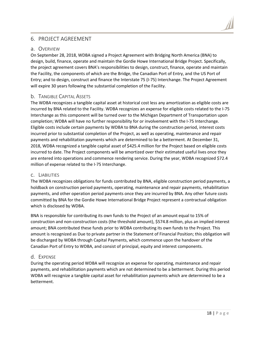## 6. PROJECT AGREEMENT

#### a. OVERVIEW

On September 28, 2018, WDBA signed a Project Agreement with Bridging North America (BNA) to design, build, finance, operate and maintain the Gordie Howe International Bridge Project. Specifically, the project agreement covers BNA's responsibilities to design, construct, finance, operate and maintain the Facility, the components of which are the Bridge, the Canadian Port of Entry, and the US Port of Entry; and to design, construct and finance the Interstate 75 (I-75) Interchange. The Project Agreement will expire 30 years following the substantial completion of the Facility.

### b. TANGIBLE CAPITAL ASSETS

The WDBA recognizes a tangible capital asset at historical cost less any amortization as eligible costs are incurred by BNA related to the Facility. WDBA recognizes an expense for eligible costs related to the I-75 Interchange as this component will be turned over to the Michigan Department of Transportation upon completion; WDBA will have no further responsibility for or involvement with the I-75 Interchange. Eligible costs include certain payments by WDBA to BNA during the construction period, interest costs incurred prior to substantial completion of the Project, as well as operating, maintenance and repair payments and rehabilitation payments which are determined to be a betterment. At December 31, 2018, WDBA recognized a tangible capital asset of \$425.4 million for the Project based on eligible costs incurred to date. The Project components will be amortized over their estimated useful lives once they are entered into operations and commence rendering service. During the year, WDBA recognized \$72.4 million of expense related to the I-75 Interchange.

#### c. LIABILITIES

The WDBA recognizes obligations for funds contributed by BNA, eligible construction period payments, a holdback on construction period payments, operating, maintenance and repair payments, rehabilitation payments, and other operation period payments once they are incurred by BNA. Any other future costs committed by BNA for the Gordie Howe International Bridge Project represent a contractual obligation which is disclosed by WDBA.

BNA is responsible for contributing its own funds to the Project of an amount equal to 15% of construction and non-construction costs (the threshold amount), \$574.8 million, plus an implied interest amount; BNA contributed these funds prior to WDBA contributing its own funds to the Project. This amount is recognized as Due to private partner in the Statement of Financial Position; this obligation will be discharged by WDBA through Capital Payments, which commence upon the handover of the Canadian Port of Entry to WDBA, and consist of principal, equity and interest components.

### d. EXPENSE

During the operating period WDBA will recognize an expense for operating, maintenance and repair payments, and rehabilitation payments which are not determined to be a betterment. During this period WDBA will recognize a tangible capital asset for rehabilitation payments which are determined to be a betterment.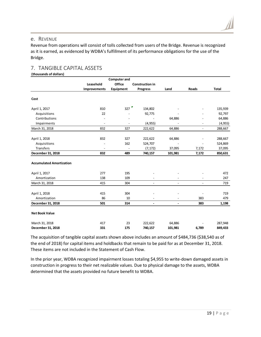Revenue from operations will consist of tolls collected from users of the Bridge. Revenue is recognized as it is earned, as evidenced by WDBA's fulfillment of its performance obligations for the use of the Bridge.

## 7. TANGIBLE CAPITAL ASSETS

**(thousands of dollars)**

| <b>Computer and</b>             |                          |                          |                          |                          |                              |              |
|---------------------------------|--------------------------|--------------------------|--------------------------|--------------------------|------------------------------|--------------|
|                                 | Leasehold                | <b>Office</b>            | <b>Construction in</b>   |                          |                              |              |
|                                 | Improvements             | Equipment                | <b>Progress</b>          | Land                     | Roads                        | <b>Total</b> |
| Cost                            |                          |                          |                          |                          |                              |              |
| April 1, 2017                   | 810                      | 327                      | 134,802                  |                          |                              | 135,939      |
| Acquisitions                    | 22                       |                          | 92,775                   |                          |                              | 92,797       |
| Contributions                   |                          |                          |                          | 64,886                   |                              | 64,886       |
| Impairments                     | $\overline{\phantom{a}}$ | $\overline{\phantom{a}}$ | (4, 955)                 |                          | $\qquad \qquad \blacksquare$ | (4, 955)     |
| March 31, 2018                  | 832                      | 327                      | 222,622                  | 64,886                   | $\overline{a}$               | 288,667      |
| April 1, 2018                   | 832                      | 327                      | 222,622                  | 64,886                   |                              | 288,667      |
| Acquisitions                    |                          | 162                      | 524,707                  |                          |                              | 524,869      |
| Transfers                       | $\overline{\phantom{a}}$ | $\overline{\phantom{a}}$ | (7, 172)                 | 37,095                   | 7,172                        | 37,095       |
| December 31, 2018               | 832                      | 489                      | 740,157                  | 101,981                  | 7,172                        | 850,631      |
| <b>Accumulated Amortization</b> |                          |                          |                          |                          |                              |              |
| April 1, 2017                   | 277                      | 195                      |                          |                          |                              | 472          |
| Amortization                    | 138                      | 109                      |                          |                          |                              | 247          |
| March 31, 2018                  | 415                      | 304                      | $\overline{\phantom{a}}$ | $\overline{\phantom{a}}$ | $\overline{\phantom{a}}$     | 719          |
| April 1, 2018                   | 415                      | 304                      |                          |                          |                              | 719          |
| Amortization                    | 86                       | 10                       |                          |                          | 383                          | 479          |
| December 31, 2018               | 501                      | 314                      | $\blacksquare$           | $\blacksquare$           | 383                          | 1,198        |
| <b>Net Book Value</b>           |                          |                          |                          |                          |                              |              |
| March 31, 2018                  | 417                      | 23                       | 222,622                  | 64,886                   |                              | 287,948      |
| December 31, 2018               | 331                      | 175                      | 740,157                  | 101,981                  | 6,789                        | 849,433      |

The acquisition of tangible capital assets shown above includes an amount of \$484,736 (\$38,540 as of the end of 2018) for capital items and holdbacks that remain to be paid for as at December 31, 2018. These items are not included in the Statement of Cash Flow.

In the prior year, WDBA recognized impairment losses totaling \$4,955 to write-down damaged assets in construction in progress to their net realizable values. Due to physical damage to the assets, WDBA determined that the assets provided no future benefit to WDBA.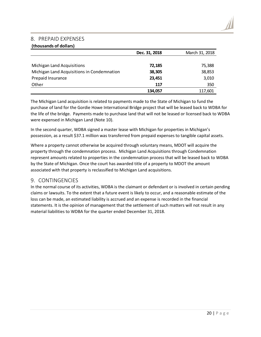### 8. PREPAID EXPENSES

#### **(thousands of dollars)**

|                                            | Dec. 31, 2018 | March 31, 2018 |
|--------------------------------------------|---------------|----------------|
|                                            |               |                |
| Michigan Land Acquisitions                 | 72,185        | 75,388         |
| Michigan Land Acquisitions in Condemnation | 38,305        | 38,853         |
| Prepaid Insurance                          | 23,451        | 3,010          |
| Other                                      | 117           | 350            |
|                                            | 134,057       | 117,601        |

The Michigan Land acquisition is related to payments made to the State of Michigan to fund the purchase of land for the Gordie Howe International Bridge project that will be leased back to WDBA for the life of the bridge. Payments made to purchase land that will not be leased or licensed back to WDBA were expensed in Michigan Land (Note 10).

In the second quarter, WDBA signed a master lease with Michigan for properties in Michigan's possession, as a result \$37.1 million was transferred from prepaid expenses to tangible capital assets.

Where a property cannot otherwise be acquired through voluntary means, MDOT will acquire the property through the condemnation process. Michigan Land Acquisitions through Condemnation represent amounts related to properties in the condemnation process that will be leased back to WDBA by the State of Michigan. Once the court has awarded title of a property to MDOT the amount associated with that property is reclassified to Michigan Land acquisitions.

### 9. CONTINGENCIES

In the normal course of its activities, WDBA is the claimant or defendant or is involved in certain pending claims or lawsuits. To the extent that a future event is likely to occur, and a reasonable estimate of the loss can be made, an estimated liability is accrued and an expense is recorded in the financial statements. It is the opinion of management that the settlement of such matters will not result in any material liabilities to WDBA for the quarter ended December 31, 2018.